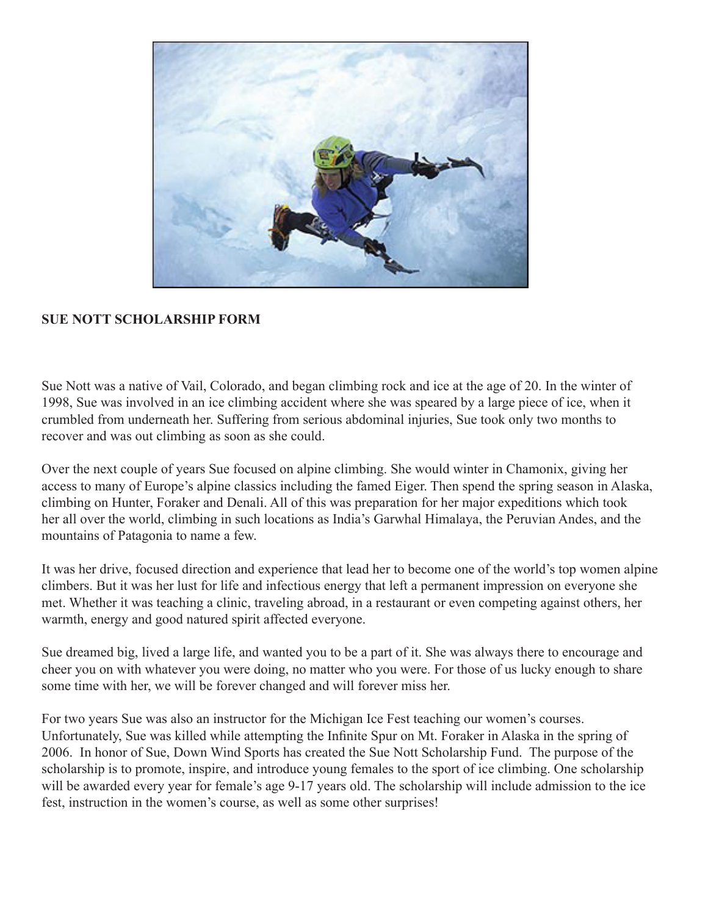

## **SUE NOTT SCHOLARSHIP FORM**

Sue Nott was a native of Vail, Colorado, and began climbing rock and ice at the age of 20. In the winter of 1998, Sue was involved in an ice climbing accident where she was speared by a large piece of ice, when it crumbled from underneath her. Suffering from serious abdominal injuries, Sue took only two months to recover and was out climbing as soon as she could.

Over the next couple of years Sue focused on alpine climbing. She would winter in Chamonix, giving her access to many of Europe's alpine classics including the famed Eiger. Then spend the spring season in Alaska, climbing on Hunter, Foraker and Denali. All of this was preparation for her major expeditions which took her all over the world, climbing in such locations as India's Garwhal Himalaya, the Peruvian Andes, and the mountains of Patagonia to name a few.

It was her drive, focused direction and experience that lead her to become one of the world's top women alpine climbers. But it was her lust for life and infectious energy that left a permanent impression on everyone she met. Whether it was teaching a clinic, traveling abroad, in a restaurant or even competing against others, her warmth, energy and good natured spirit affected everyone.

Sue dreamed big, lived a large life, and wanted you to be a part of it. She was always there to encourage and cheer you on with whatever you were doing, no matter who you were. For those of us lucky enough to share some time with her, we will be forever changed and will forever miss her.

For two years Sue was also an instructor for the Michigan Ice Fest teaching our women's courses. Unfortunately, Sue was killed while attempting the Infinite Spur on Mt. Foraker in Alaska in the spring of 2006. In honor of Sue, Down Wind Sports has created the Sue Nott Scholarship Fund. The purpose of the scholarship is to promote, inspire, and introduce young females to the sport of ice climbing. One scholarship will be awarded every year for female's age 9-17 years old. The scholarship will include admission to the ice fest, instruction in the women's course, as well as some other surprises!